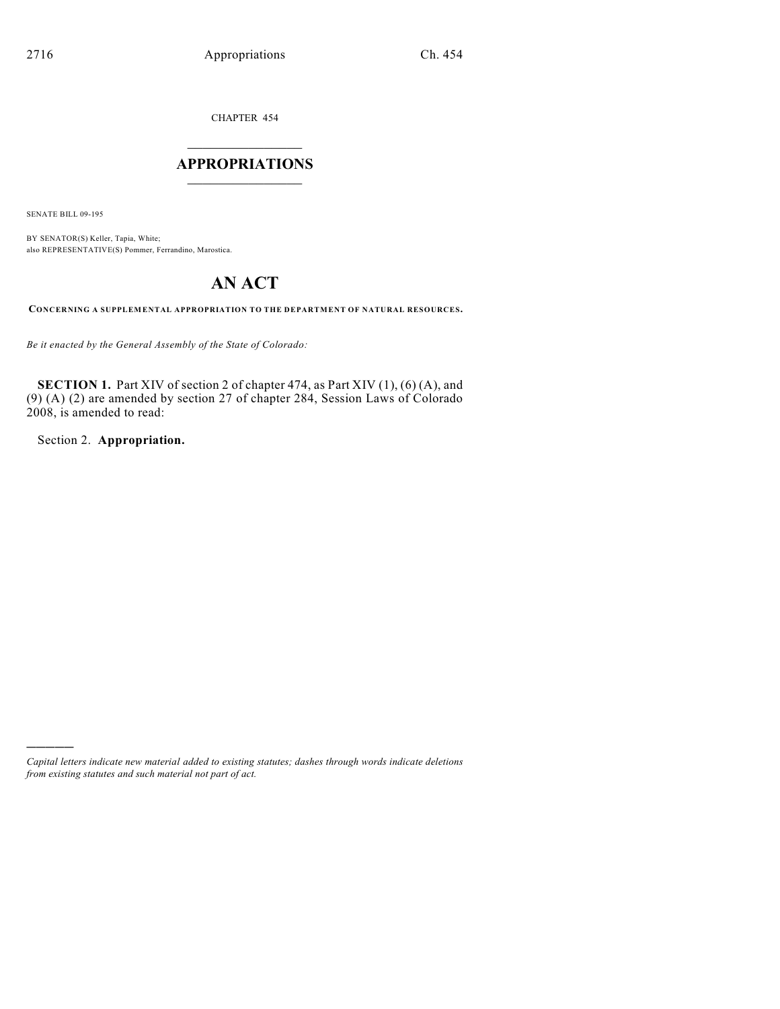CHAPTER 454

## $\mathcal{L}_\text{max}$  . The set of the set of the set of the set of the set of the set of the set of the set of the set of the set of the set of the set of the set of the set of the set of the set of the set of the set of the set **APPROPRIATIONS**  $\_$   $\_$   $\_$   $\_$   $\_$   $\_$   $\_$   $\_$

SENATE BILL 09-195

)))))

BY SENATOR(S) Keller, Tapia, White; also REPRESENTATIVE(S) Pommer, Ferrandino, Marostica.

# **AN ACT**

**CONCERNING A SUPPLEMENTAL APPROPRIATION TO THE DEPARTMENT OF NATURAL RESOURCES.**

*Be it enacted by the General Assembly of the State of Colorado:*

**SECTION 1.** Part XIV of section 2 of chapter 474, as Part XIV (1), (6) (A), and (9) (A) (2) are amended by section 27 of chapter 284, Session Laws of Colorado 2008, is amended to read:

Section 2. **Appropriation.**

*Capital letters indicate new material added to existing statutes; dashes through words indicate deletions from existing statutes and such material not part of act.*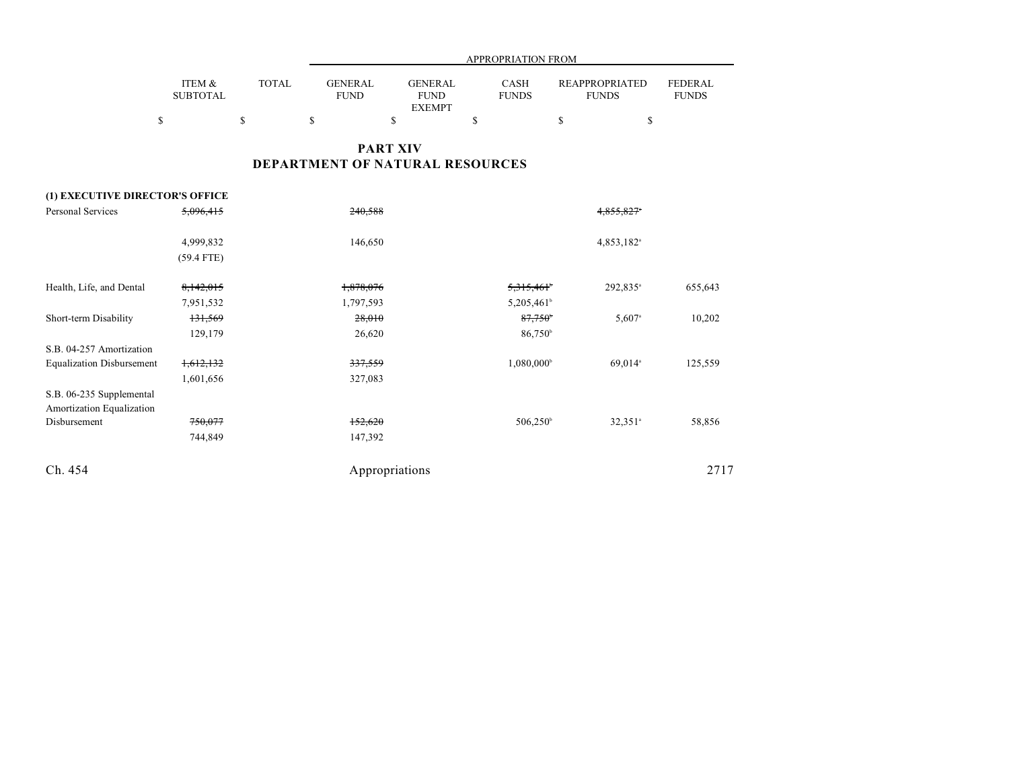|                           |              |                               | APPROPRIATION FROM            |                             |                                       |                                |  |  |  |  |
|---------------------------|--------------|-------------------------------|-------------------------------|-----------------------------|---------------------------------------|--------------------------------|--|--|--|--|
| ITEM &<br><b>SUBTOTAL</b> | <b>TOTAL</b> | <b>GENERAL</b><br><b>FUND</b> | <b>GENERAL</b><br><b>FUND</b> | <b>CASH</b><br><b>FUNDS</b> | <b>REAPPROPRIATED</b><br><b>FUNDS</b> | <b>FEDERAL</b><br><b>FUNDS</b> |  |  |  |  |
|                           |              |                               | <b>EXEMPT</b>                 |                             |                                       |                                |  |  |  |  |
|                           |              |                               |                               |                             |                                       |                                |  |  |  |  |

## **PART XIV DEPARTMENT OF NATURAL RESOURCES**

### **(1) EXECUTIVE DIRECTOR'S OFFICE**

| <b>Personal Services</b>                              | 5,096,415    | 240,588        |                        | 4.855.827              |         |
|-------------------------------------------------------|--------------|----------------|------------------------|------------------------|---------|
|                                                       | 4,999,832    | 146,650        |                        | 4,853,182 <sup>a</sup> |         |
|                                                       | $(59.4$ FTE) |                |                        |                        |         |
| Health, Life, and Dental                              | 8,142,015    | 1,878,076      | 5,315,461              | 292,835 <sup>a</sup>   | 655,643 |
|                                                       | 7,951,532    | 1,797,593      | 5,205,461 <sup>b</sup> |                        |         |
| Short-term Disability                                 | 131,569      | 28,010         | 87,750                 | $5,607$ <sup>a</sup>   | 10,202  |
|                                                       | 129,179      | 26,620         | 86,750 <sup>b</sup>    |                        |         |
| S.B. 04-257 Amortization                              |              |                |                        |                        |         |
| <b>Equalization Disbursement</b>                      | 1,612,132    | 337,559        | $1,080,000^{\circ}$    | 69,014 <sup>a</sup>    | 125,559 |
|                                                       | 1,601,656    | 327,083        |                        |                        |         |
| S.B. 06-235 Supplemental<br>Amortization Equalization |              |                |                        |                        |         |
| Disbursement                                          | 750,077      | 152,620        | $506,250^{\circ}$      | $32,351$ <sup>a</sup>  | 58,856  |
|                                                       | 744,849      | 147,392        |                        |                        |         |
| Ch. 454                                               |              | Appropriations |                        |                        | 2717    |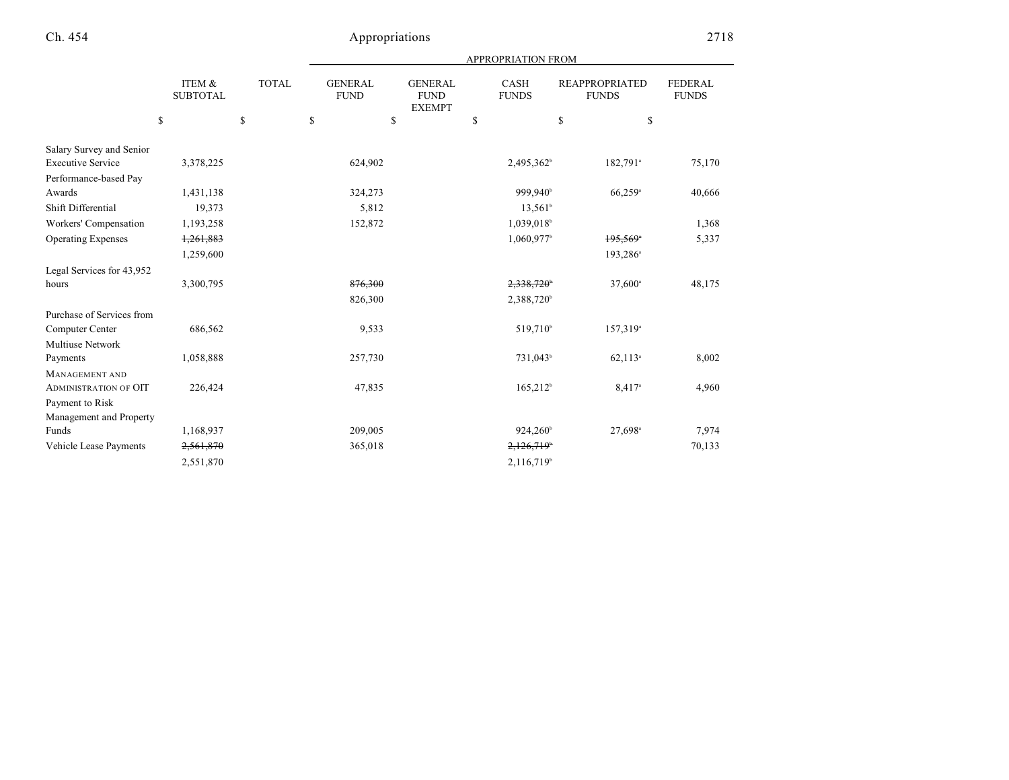| APPROPRIATION FROM |  |
|--------------------|--|
|                    |  |

|                              | ITEM &<br><b>SUBTOTAL</b> | <b>TOTAL</b> | <b>GENERAL</b><br><b>FUND</b> | <b>GENERAL</b><br><b>FUND</b><br><b>EXEMPT</b> | CASH<br><b>FUNDS</b>   | <b>REAPPROPRIATED</b><br><b>FUNDS</b> | <b>FEDERAL</b><br><b>FUNDS</b> |
|------------------------------|---------------------------|--------------|-------------------------------|------------------------------------------------|------------------------|---------------------------------------|--------------------------------|
|                              | \$                        | \$           | \$                            | \$                                             | \$                     | \$                                    | \$                             |
| Salary Survey and Senior     |                           |              |                               |                                                |                        |                                       |                                |
| <b>Executive Service</b>     | 3,378,225                 |              | 624,902                       |                                                | 2,495,362 <sup>b</sup> | 182,791 <sup>a</sup>                  | 75,170                         |
| Performance-based Pay        |                           |              |                               |                                                |                        |                                       |                                |
| Awards                       | 1,431,138                 |              | 324,273                       |                                                | 999,940 <sup>b</sup>   | 66,259 <sup>a</sup>                   | 40,666                         |
| Shift Differential           | 19,373                    |              | 5,812                         |                                                | $13,561^{\circ}$       |                                       |                                |
| Workers' Compensation        | 1,193,258                 |              | 152,872                       |                                                | 1,039,018              |                                       | 1,368                          |
| <b>Operating Expenses</b>    | 1,261,883                 |              |                               |                                                | 1,060,977              | $195,569$ <sup>*</sup>                | 5,337                          |
|                              | 1,259,600                 |              |                               |                                                |                        | 193,286 <sup>a</sup>                  |                                |
| Legal Services for 43,952    |                           |              |                               |                                                |                        |                                       |                                |
| hours                        | 3,300,795                 |              | 876,300                       |                                                | 2,338,720              | 37,600 <sup>a</sup>                   | 48,175                         |
|                              |                           |              | 826,300                       |                                                | 2,388,720 <sup>b</sup> |                                       |                                |
| Purchase of Services from    |                           |              |                               |                                                |                        |                                       |                                |
| Computer Center              | 686,562                   |              | 9,533                         |                                                | 519,710 <sup>b</sup>   | 157,319 <sup>a</sup>                  |                                |
| Multiuse Network             |                           |              |                               |                                                |                        |                                       |                                |
| Payments                     | 1,058,888                 |              | 257,730                       |                                                | 731,043 <sup>b</sup>   | $62,113$ <sup>a</sup>                 | 8,002                          |
| <b>MANAGEMENT AND</b>        |                           |              |                               |                                                |                        |                                       |                                |
| <b>ADMINISTRATION OF OIT</b> | 226,424                   |              | 47,835                        |                                                | $165,212^b$            | 8,417 <sup>a</sup>                    | 4,960                          |
| Payment to Risk              |                           |              |                               |                                                |                        |                                       |                                |
| Management and Property      |                           |              |                               |                                                |                        |                                       |                                |
| Funds                        | 1,168,937                 |              | 209,005                       |                                                | $924,260^{\circ}$      | 27,698 <sup>a</sup>                   | 7,974                          |
| Vehicle Lease Payments       | 2,561,870                 |              | 365,018                       |                                                | 2,126,719              |                                       | 70,133                         |
|                              | 2,551,870                 |              |                               |                                                | 2,116,719 <sup>b</sup> |                                       |                                |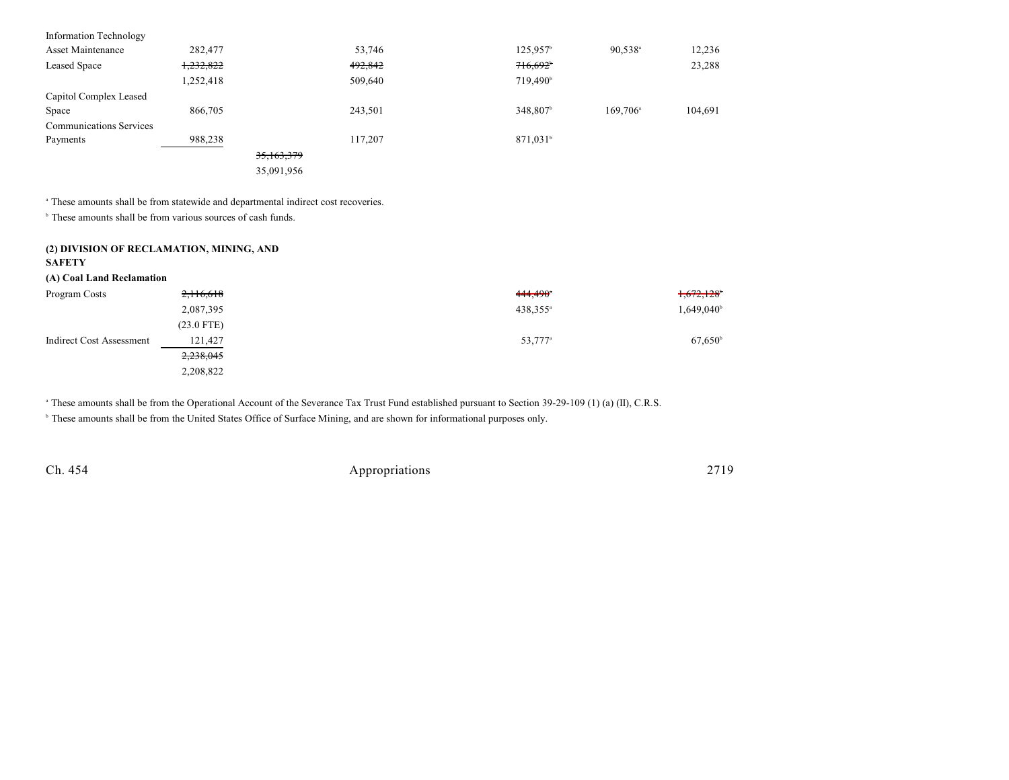| <b>Information Technology</b>  |           |            |         |                        |                   |         |
|--------------------------------|-----------|------------|---------|------------------------|-------------------|---------|
| Asset Maintenance              | 282,477   |            | 53,746  | $125,957$ <sup>b</sup> | $90,538^{\circ}$  | 12,236  |
| Leased Space                   | 1,232,822 |            | 492,842 | 716,692                |                   | 23,288  |
|                                | 1,252,418 |            | 509,640 | 719,490 <sup>b</sup>   |                   |         |
| Capitol Complex Leased         |           |            |         |                        |                   |         |
| Space                          | 866,705   |            | 243,501 | 348,807 <sup>b</sup>   | $169.706^{\circ}$ | 104,691 |
| <b>Communications Services</b> |           |            |         |                        |                   |         |
| Payments                       | 988,238   |            | 117,207 | 871,031 <sup>b</sup>   |                   |         |
|                                |           | 35,163,379 |         |                        |                   |         |
|                                |           | 35,091,956 |         |                        |                   |         |
|                                |           |            |         |                        |                   |         |

<sup>a</sup> These amounts shall be from statewide and departmental indirect cost recoveries.

 $\,^{\circ}$  These amounts shall be from various sources of cash funds.

### **(2) DIVISION OF RECLAMATION, MINING, AND**

### **SAFETY**

#### **(A) Coal Land Reclamation**

| Program Costs            | 2,116,618    | $444.490$ <sup>*</sup> | 1,672,128              |
|--------------------------|--------------|------------------------|------------------------|
|                          | 2,087,395    | 438,355 <sup>a</sup>   | 1,649,040 <sup>b</sup> |
|                          | $(23.0$ FTE) |                        |                        |
| Indirect Cost Assessment | 121,427      | 53,777 <sup>a</sup>    | $67,650^{\circ}$       |
|                          | 2,238,045    |                        |                        |
|                          | 2,208,822    |                        |                        |

<sup>a</sup> These amounts shall be from the Operational Account of the Severance Tax Trust Fund established pursuant to Section 39-29-109 (1) (a) (II), C.R.S.

<sup>b</sup> These amounts shall be from the United States Office of Surface Mining, and are shown for informational purposes only.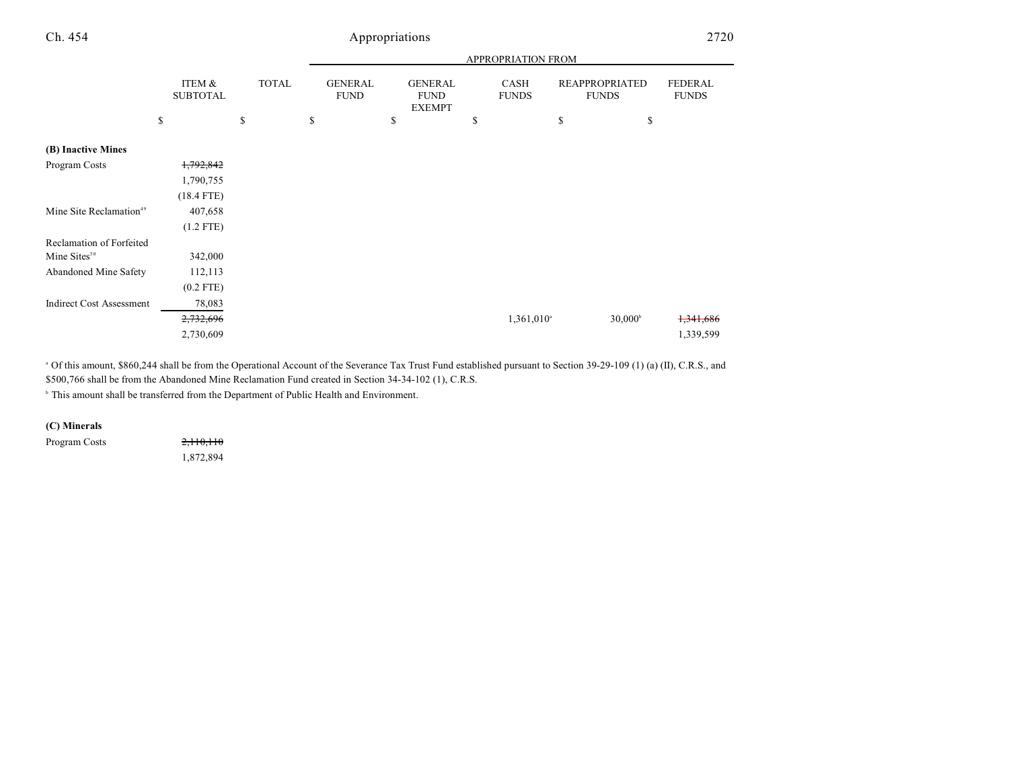|                                     |                           |              |                               |                                                | APPROPRIATION FROM       |                                       |                  |                                |
|-------------------------------------|---------------------------|--------------|-------------------------------|------------------------------------------------|--------------------------|---------------------------------------|------------------|--------------------------------|
|                                     | ITEM &<br><b>SUBTOTAL</b> | <b>TOTAL</b> | <b>GENERAL</b><br><b>FUND</b> | <b>GENERAL</b><br><b>FUND</b><br><b>EXEMPT</b> | CASH<br><b>FUNDS</b>     | <b>REAPPROPRIATED</b><br><b>FUNDS</b> |                  | <b>FEDERAL</b><br><b>FUNDS</b> |
|                                     | \$                        | \$           | \$                            | \$                                             | \$                       | \$                                    | \$               |                                |
| (B) Inactive Mines                  |                           |              |                               |                                                |                          |                                       |                  |                                |
| Program Costs                       | 1,792,842                 |              |                               |                                                |                          |                                       |                  |                                |
|                                     | 1,790,755                 |              |                               |                                                |                          |                                       |                  |                                |
|                                     | $(18.4$ FTE)              |              |                               |                                                |                          |                                       |                  |                                |
| Mine Site Reclamation <sup>49</sup> | 407,658                   |              |                               |                                                |                          |                                       |                  |                                |
|                                     | $(1.2$ FTE)               |              |                               |                                                |                          |                                       |                  |                                |
| Reclamation of Forfeited            |                           |              |                               |                                                |                          |                                       |                  |                                |
| Mine Sites <sup>50</sup>            | 342,000                   |              |                               |                                                |                          |                                       |                  |                                |
| Abandoned Mine Safety               | 112,113                   |              |                               |                                                |                          |                                       |                  |                                |
|                                     | $(0.2$ FTE)               |              |                               |                                                |                          |                                       |                  |                                |
| <b>Indirect Cost Assessment</b>     | 78,083                    |              |                               |                                                |                          |                                       |                  |                                |
|                                     | 2,732,696                 |              |                               |                                                | $1,361,010$ <sup>a</sup> |                                       | $30,000^{\circ}$ | 1,341,686                      |
|                                     | 2,730,609                 |              |                               |                                                |                          |                                       |                  | 1,339,599                      |

<sup>a</sup> Of this amount, \$860,244 shall be from the Operational Account of the Severance Tax Trust Fund established pursuant to Section 39-29-109 (1) (a) (II), C.R.S., and \$500,766 shall be from the Abandoned Mine Reclamation Fund created in Section 34-34-102 (1), C.R.S.

 $^{\circ}$  This amount shall be transferred from the Department of Public Health and Environment.

### **(C) Minerals**

Program Costs 2,110,110

1,872,894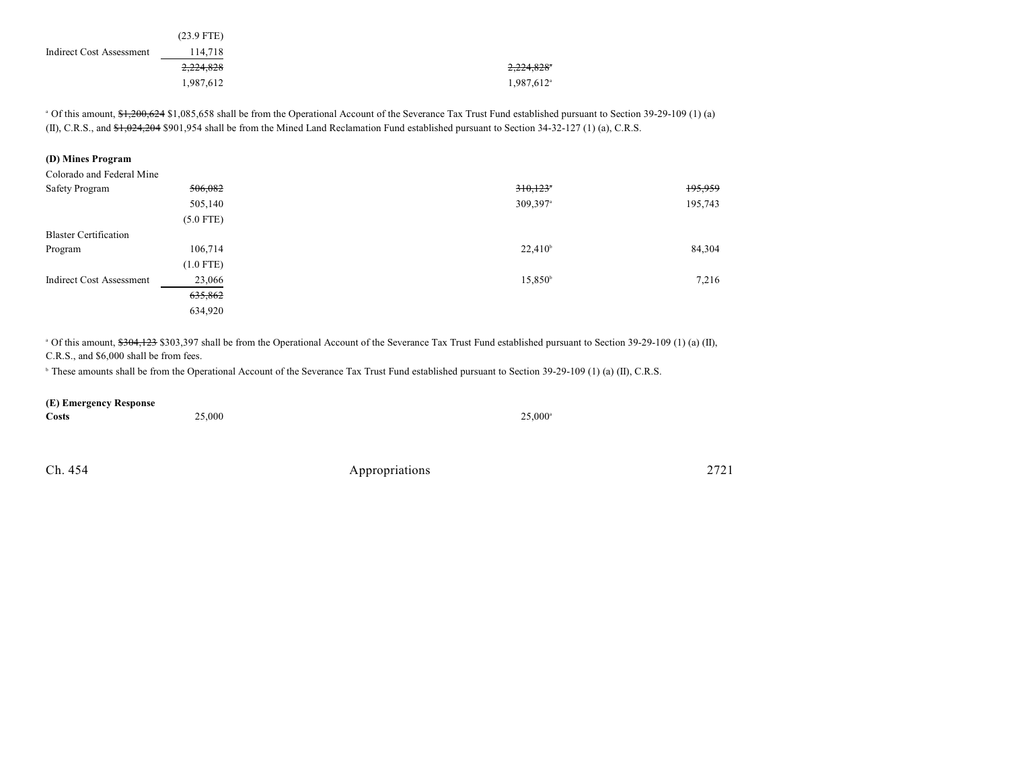|                          | $(23.9$ FTE) |
|--------------------------|--------------|
| Indirect Cost Assessment | 114,718      |
|                          | 2,224,828    |
|                          | 1,987,612    |

<sup>a</sup> Of this amount, \$1,200,624 \$1,085,658 shall be from the Operational Account of the Severance Tax Trust Fund established pursuant to Section 39-29-109 (1) (a) (II), C.R.S., and \$1,024,204 \$901,954 shall be from the Mined Land Reclamation Fund established pursuant to Section 34-32-127 (1) (a), C.R.S.

### **(D) Mines Program**

| Colorado and Federal Mine    |             |                        |         |
|------------------------------|-------------|------------------------|---------|
| Safety Program               | 506,082     | 310,123                | 195,959 |
|                              | 505,140     | $309,397$ <sup>a</sup> | 195,743 |
|                              | $(5.0$ FTE) |                        |         |
| <b>Blaster Certification</b> |             |                        |         |
| Program                      | 106,714     | $22,410^{\circ}$       | 84,304  |
|                              | $(1.0$ FTE) |                        |         |
| Indirect Cost Assessment     | 23,066      | $15,850^{\circ}$       | 7,216   |
|                              | 635,862     |                        |         |
|                              | 634,920     |                        |         |

<sup>a</sup> Of this amount, \$304,123 \$303,397 shall be from the Operational Account of the Severance Tax Trust Fund established pursuant to Section 39-29-109 (1) (a) (II), C.R.S., and \$6,000 shall be from fees.

<sup>b</sup> These amounts shall be from the Operational Account of the Severance Tax Trust Fund established pursuant to Section 39-29-109 (1) (a) (II), C.R.S.

#### **(E) Emergency Response**

| _____<br>_______<br><b>Costs</b> | 25,000 | $25,000^{\circ}$ |
|----------------------------------|--------|------------------|
|                                  |        |                  |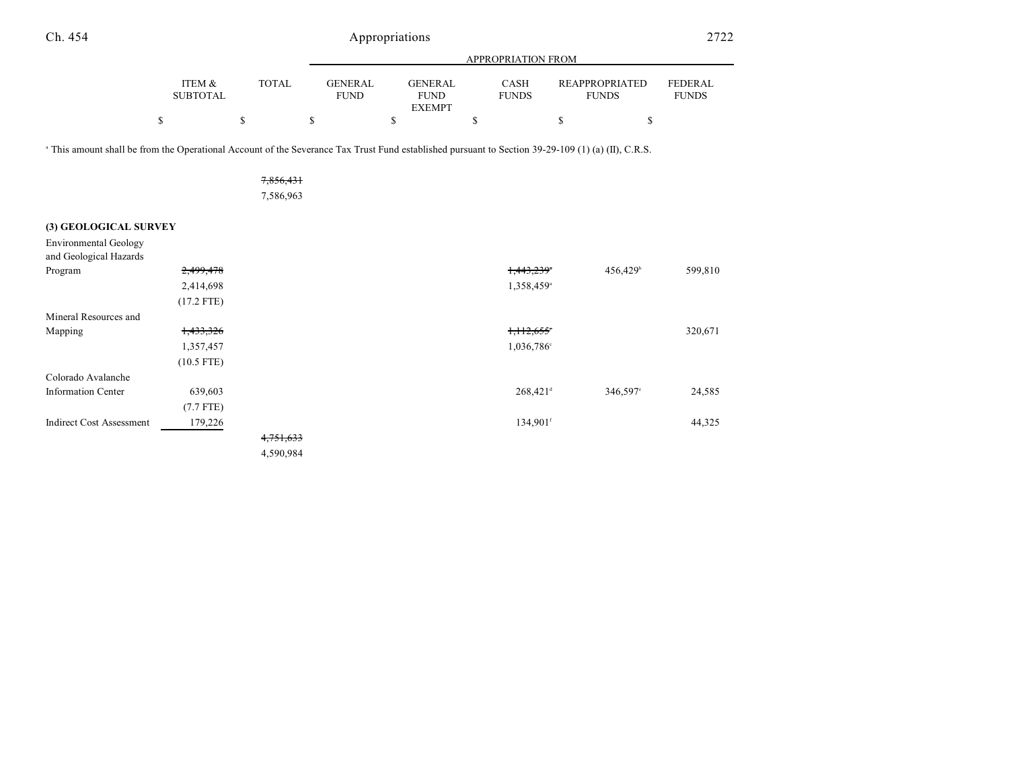|                           |              |                | APPROPRIATION FROM |                             |                       |                |  |  |  |  |
|---------------------------|--------------|----------------|--------------------|-----------------------------|-----------------------|----------------|--|--|--|--|
|                           |              | <b>GENERAL</b> | <b>GENERAL</b>     |                             | <b>REAPPROPRIATED</b> | <b>FEDERAL</b> |  |  |  |  |
| ITEM &<br><b>SUBTOTAL</b> | <b>TOTAL</b> | <b>FUND</b>    | <b>FUND</b>        | <b>CASH</b><br><b>FUNDS</b> | <b>FUNDS</b>          | <b>FUNDS</b>   |  |  |  |  |
|                           |              |                | <b>EXEMPT</b>      |                             |                       |                |  |  |  |  |
| S                         |              |                |                    |                             |                       |                |  |  |  |  |

<sup>a</sup> This amount shall be from the Operational Account of the Severance Tax Trust Fund established pursuant to Section 39-29-109 (1) (a) (II), C.R.S.

| 7,856,431 |  |
|-----------|--|
| 7,586,963 |  |

### **(3) GEOLOGICAL SURVEY**

Environmental Geology

| and Geological Hazards          |              |           |                        |                      |         |
|---------------------------------|--------------|-----------|------------------------|----------------------|---------|
| Program                         | 2,499,478    |           | 1,443,239              | 456,429 <sup>b</sup> | 599,810 |
|                                 | 2,414,698    |           | 1,358,459 <sup>a</sup> |                      |         |
|                                 | $(17.2$ FTE) |           |                        |                      |         |
| Mineral Resources and           |              |           |                        |                      |         |
| Mapping                         | 1,433,326    |           | 1,112,655              |                      | 320,671 |
|                                 | 1,357,457    |           | 1,036,786 <sup>c</sup> |                      |         |
|                                 | $(10.5$ FTE) |           |                        |                      |         |
| Colorado Avalanche              |              |           |                        |                      |         |
| <b>Information Center</b>       | 639,603      |           | $268,421$ <sup>d</sup> | 346,597°             | 24,585  |
|                                 | $(7.7$ FTE)  |           |                        |                      |         |
| <b>Indirect Cost Assessment</b> | 179,226      |           | 134,901f               |                      | 44,325  |
|                                 |              | 4,751,633 |                        |                      |         |
|                                 |              | 4,590,984 |                        |                      |         |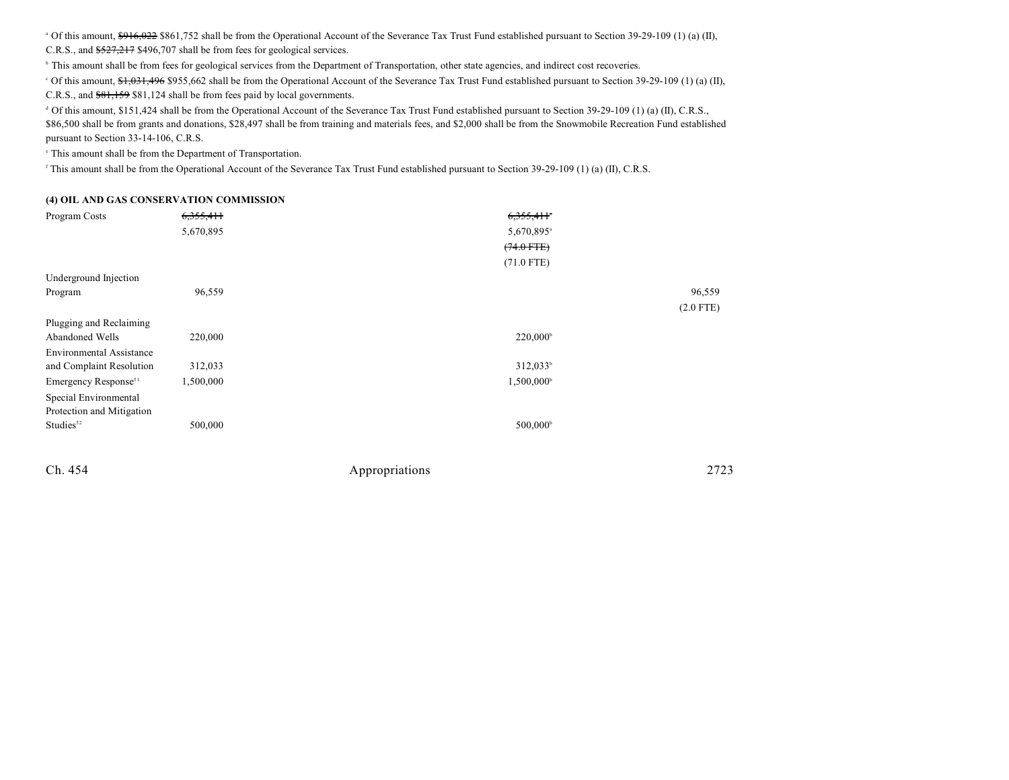<sup>a</sup> Of this amount,  $\frac{6916,022}{6}$  \$861,752 shall be from the Operational Account of the Severance Tax Trust Fund established pursuant to Section 39-29-109 (1) (a) (II),

C.R.S., and \$527,217 \$496,707 shall be from fees for geological services.

<sup>b</sup> This amount shall be from fees for geological services from the Department of Transportation, other state agencies, and indirect cost recoveries.

<sup>c</sup> Of this amount, \$1,031,496 \$955,662 shall be from the Operational Account of the Severance Tax Trust Fund established pursuant to Section 39-29-109 (1) (a) (II),

C.R.S., and \$81,159 \$81,124 shall be from fees paid by local governments.

 Of this amount, \$151,424 shall be from the Operational Account of the Severance Tax Trust Fund established pursuant to Section 39-29-109 (1) (a) (II), C.R.S., <sup>d</sup> \$86,500 shall be from grants and donations, \$28,497 shall be from training and materials fees, and \$2,000 shall be from the Snowmobile Recreation Fund established pursuant to Section 33-14-106, C.R.S.

 $\degree$  This amount shall be from the Department of Transportation.

<sup>f</sup> This amount shall be from the Operational Account of the Severance Tax Trust Fund established pursuant to Section 39-29-109 (1) (a) (II), C.R.S.

#### **(4) OIL AND GAS CONSERVATION COMMISSION**

| Program Costs                    | 6,355,411 | 6,355,411              |        |
|----------------------------------|-----------|------------------------|--------|
|                                  | 5,670,895 | 5,670,895 <sup>a</sup> |        |
|                                  |           | $(74.0$ FTE)           |        |
|                                  |           | $(71.0$ FTE)           |        |
| Underground Injection            |           |                        |        |
| Program                          | 96,559    |                        | 96,559 |
|                                  |           | $(2.0$ FTE)            |        |
| Plugging and Reclaiming          |           |                        |        |
| Abandoned Wells                  | 220,000   | $220,000^{\circ}$      |        |
| <b>Environmental Assistance</b>  |           |                        |        |
| and Complaint Resolution         | 312,033   | $312,033^b$            |        |
| Emergency Response <sup>51</sup> | 1,500,000 | 1,500,000 <sup>b</sup> |        |
| Special Environmental            |           |                        |        |
| Protection and Mitigation        |           |                        |        |
| Studies <sup>52</sup>            | 500,000   | 500,000 <sup>b</sup>   |        |
|                                  |           |                        |        |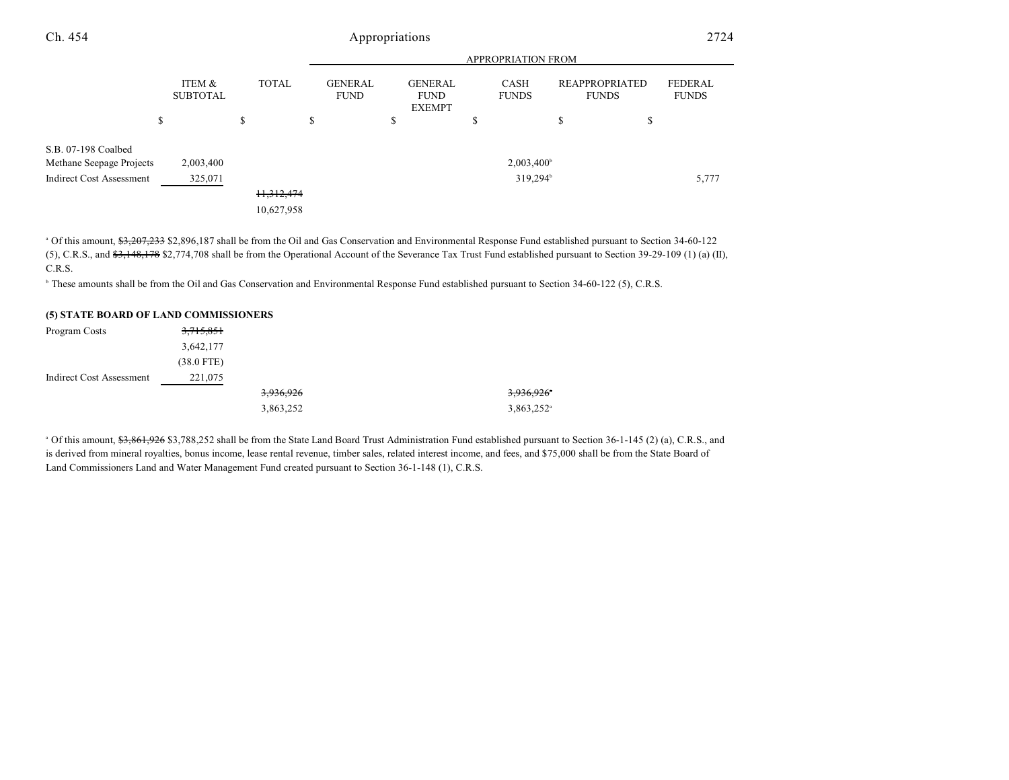|                                                 |                           |   | <b>APPROPRIATION FROM</b> |    |                               |   |                                                |                             |                                       |                         |
|-------------------------------------------------|---------------------------|---|---------------------------|----|-------------------------------|---|------------------------------------------------|-----------------------------|---------------------------------------|-------------------------|
|                                                 | ITEM &<br><b>SUBTOTAL</b> |   | <b>TOTAL</b>              |    | <b>GENERAL</b><br><b>FUND</b> |   | <b>GENERAL</b><br><b>FUND</b><br><b>EXEMPT</b> | <b>CASH</b><br><b>FUNDS</b> | <b>REAPPROPRIATED</b><br><b>FUNDS</b> | FEDERAL<br><b>FUNDS</b> |
|                                                 | \$                        | S |                           | D. |                               | ъ |                                                | \$                          | \$<br>\$                              |                         |
| S.B. 07-198 Coalbed<br>Methane Seepage Projects | 2,003,400                 |   |                           |    |                               |   |                                                | 2,003,400 <sup>b</sup>      |                                       |                         |
| <b>Indirect Cost Assessment</b>                 | 325,071                   |   |                           |    |                               |   |                                                | 319,294 <sup>b</sup>        |                                       | 5,777                   |
|                                                 |                           |   | 11,312,474                |    |                               |   |                                                |                             |                                       |                         |
|                                                 |                           |   | 10,627,958                |    |                               |   |                                                |                             |                                       |                         |

<sup>a</sup> Of this amount, \$3,207,233 \$2,896,187 shall be from the Oil and Gas Conservation and Environmental Response Fund established pursuant to Section 34-60-122 (5), C.R.S., and  $\frac{2}{3}$ , 148, 178 \$2,774,708 shall be from the Operational Account of the Severance Tax Trust Fund established pursuant to Section 39-29-109 (1) (a) (II), C.R.S.

<sup>h</sup> These amounts shall be from the Oil and Gas Conservation and Environmental Response Fund established pursuant to Section 34-60-122 (5), C.R.S.

#### **(5) STATE BOARD OF LAND COMMISSIONERS**

| Program Costs                   | <del>3,715,851</del> |           |                          |
|---------------------------------|----------------------|-----------|--------------------------|
|                                 | 3,642,177            |           |                          |
|                                 | $(38.0$ FTE)         |           |                          |
| <b>Indirect Cost Assessment</b> | 221,075              |           |                          |
|                                 |                      | 3,936,926 | 3,936,926*               |
|                                 |                      | 3,863,252 | $3,863,252$ <sup>a</sup> |

<sup>a</sup> Of this amount, <del>\$3,861,926</del> \$3,788,252 shall be from the State Land Board Trust Administration Fund established pursuant to Section 36-1-145 (2) (a), C.R.S., and is derived from mineral royalties, bonus income, lease rental revenue, timber sales, related interest income, and fees, and \$75,000 shall be from the State Board of Land Commissioners Land and Water Management Fund created pursuant to Section 36-1-148 (1), C.R.S.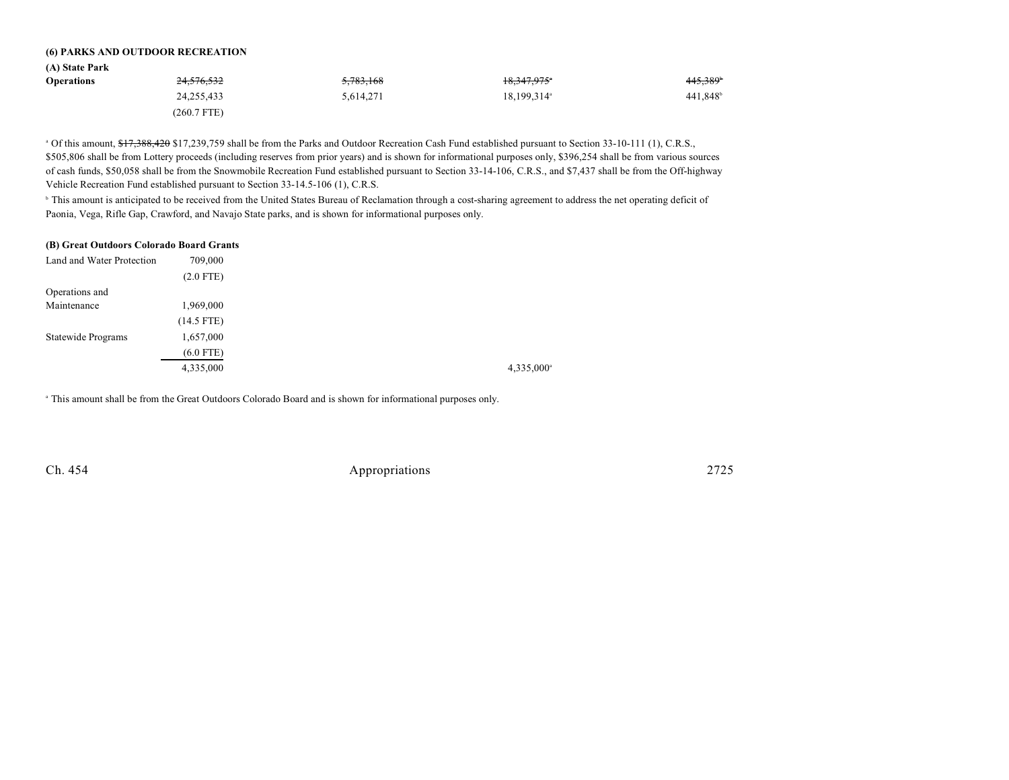#### **(6) PARKS AND OUTDOOR RECREATION**

| (A) State Park    |                        |                      |                         |                      |
|-------------------|------------------------|----------------------|-------------------------|----------------------|
| <b>Operations</b> | 2 <del>4,576,532</del> | <del>5,783,168</del> | 18,347,975°             | 445,389              |
|                   | 24,255,433             | 5,614,271            | 18,199,314 <sup>a</sup> | 441,848 <sup>b</sup> |
|                   | (260.7 FTE)            |                      |                         |                      |

<sup>a</sup> Of this amount, \$17,388,420 \$17,239,759 shall be from the Parks and Outdoor Recreation Cash Fund established pursuant to Section 33-10-111 (1), C.R.S., \$505,806 shall be from Lottery proceeds (including reserves from prior years) and is shown for informational purposes only, \$396,254 shall be from various sources of cash funds, \$50,058 shall be from the Snowmobile Recreation Fund established pursuant to Section 33-14-106, C.R.S., and \$7,437 shall be from the Off-highway Vehicle Recreation Fund established pursuant to Section 33-14.5-106 (1), C.R.S.

<sup>b</sup> This amount is anticipated to be received from the United States Bureau of Reclamation through a cost-sharing agreement to address the net operating deficit of Paonia, Vega, Rifle Gap, Crawford, and Navajo State parks, and is shown for informational purposes only.

| (B) Great Outdoors Colorado Board Grants |  |  |  |  |  |
|------------------------------------------|--|--|--|--|--|
| 709,000                                  |  |  |  |  |  |
| $(2.0$ FTE)                              |  |  |  |  |  |
|                                          |  |  |  |  |  |
| 1,969,000                                |  |  |  |  |  |
| $(14.5$ FTE)                             |  |  |  |  |  |
| 1,657,000                                |  |  |  |  |  |
| (6.0 FTE)                                |  |  |  |  |  |
| 4,335,000                                |  |  |  |  |  |
|                                          |  |  |  |  |  |

<sup>a</sup> This amount shall be from the Great Outdoors Colorado Board and is shown for informational purposes only.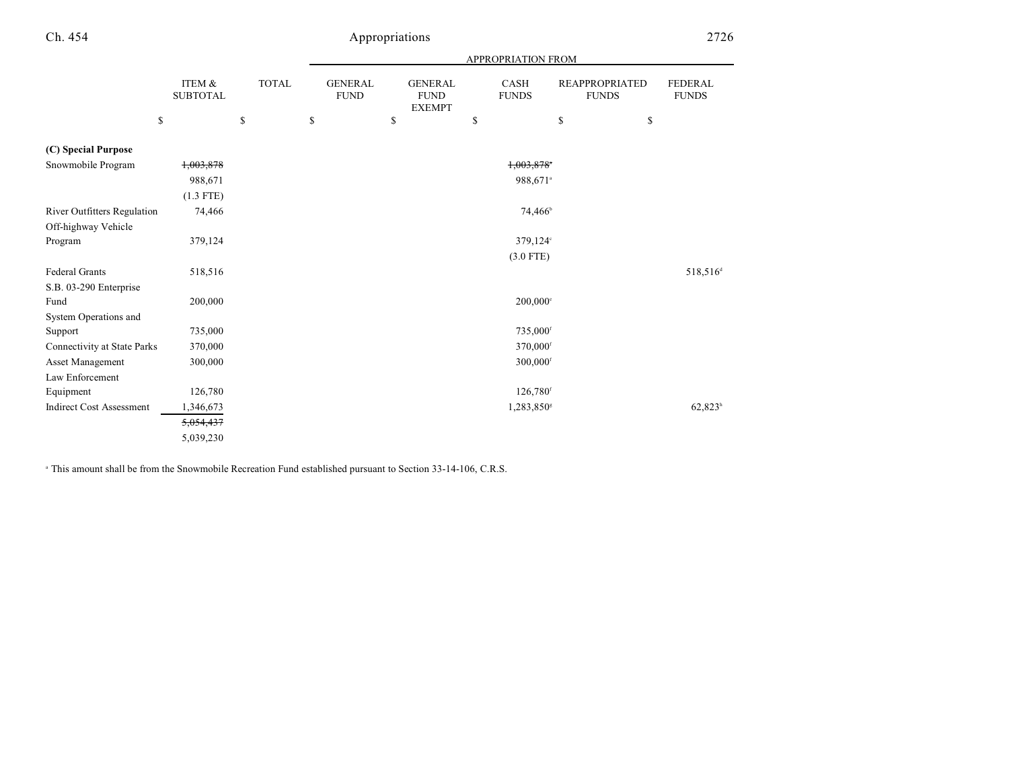|                                    |                           |              |                               |                                                | APPROPRIATION FROM          |                                       |                                |
|------------------------------------|---------------------------|--------------|-------------------------------|------------------------------------------------|-----------------------------|---------------------------------------|--------------------------------|
|                                    | ITEM &<br><b>SUBTOTAL</b> | <b>TOTAL</b> | <b>GENERAL</b><br><b>FUND</b> | <b>GENERAL</b><br><b>FUND</b><br><b>EXEMPT</b> | <b>CASH</b><br><b>FUNDS</b> | <b>REAPPROPRIATED</b><br><b>FUNDS</b> | <b>FEDERAL</b><br><b>FUNDS</b> |
| \$                                 |                           | \$           | \$                            | \$                                             | \$                          | \$                                    | \$                             |
| (C) Special Purpose                |                           |              |                               |                                                |                             |                                       |                                |
| Snowmobile Program                 | 1,003,878                 |              |                               |                                                | 1,003,878*                  |                                       |                                |
|                                    | 988,671                   |              |                               |                                                | 988,671 <sup>a</sup>        |                                       |                                |
|                                    | $(1.3$ FTE)               |              |                               |                                                |                             |                                       |                                |
| <b>River Outfitters Regulation</b> | 74,466                    |              |                               |                                                | 74,466 <sup>b</sup>         |                                       |                                |
| Off-highway Vehicle                |                           |              |                               |                                                |                             |                                       |                                |
| Program                            | 379,124                   |              |                               |                                                | 379,124°                    |                                       |                                |
|                                    |                           |              |                               |                                                | $(3.0$ FTE)                 |                                       |                                |
| Federal Grants                     | 518,516                   |              |                               |                                                |                             |                                       | 518,516 <sup>d</sup>           |
| S.B. 03-290 Enterprise             |                           |              |                               |                                                |                             |                                       |                                |
| Fund                               | 200,000                   |              |                               |                                                | 200,000 <sup>e</sup>        |                                       |                                |
| System Operations and              |                           |              |                               |                                                |                             |                                       |                                |
| Support                            | 735,000                   |              |                               |                                                | 735,000 <sup>f</sup>        |                                       |                                |
| <b>Connectivity at State Parks</b> | 370,000                   |              |                               |                                                | 370,000 <sup>f</sup>        |                                       |                                |
| Asset Management                   | 300,000                   |              |                               |                                                | 300,000 <sup>f</sup>        |                                       |                                |
| Law Enforcement                    |                           |              |                               |                                                |                             |                                       |                                |
| Equipment                          | 126,780                   |              |                               |                                                | 126,780 <sup>f</sup>        |                                       |                                |
| <b>Indirect Cost Assessment</b>    | 1,346,673                 |              |                               |                                                | 1,283,850 <sup>s</sup>      |                                       | $62,823^h$                     |
|                                    | 5,054,437                 |              |                               |                                                |                             |                                       |                                |
|                                    | 5,039,230                 |              |                               |                                                |                             |                                       |                                |

<sup>a</sup> This amount shall be from the Snowmobile Recreation Fund established pursuant to Section 33-14-106, C.R.S.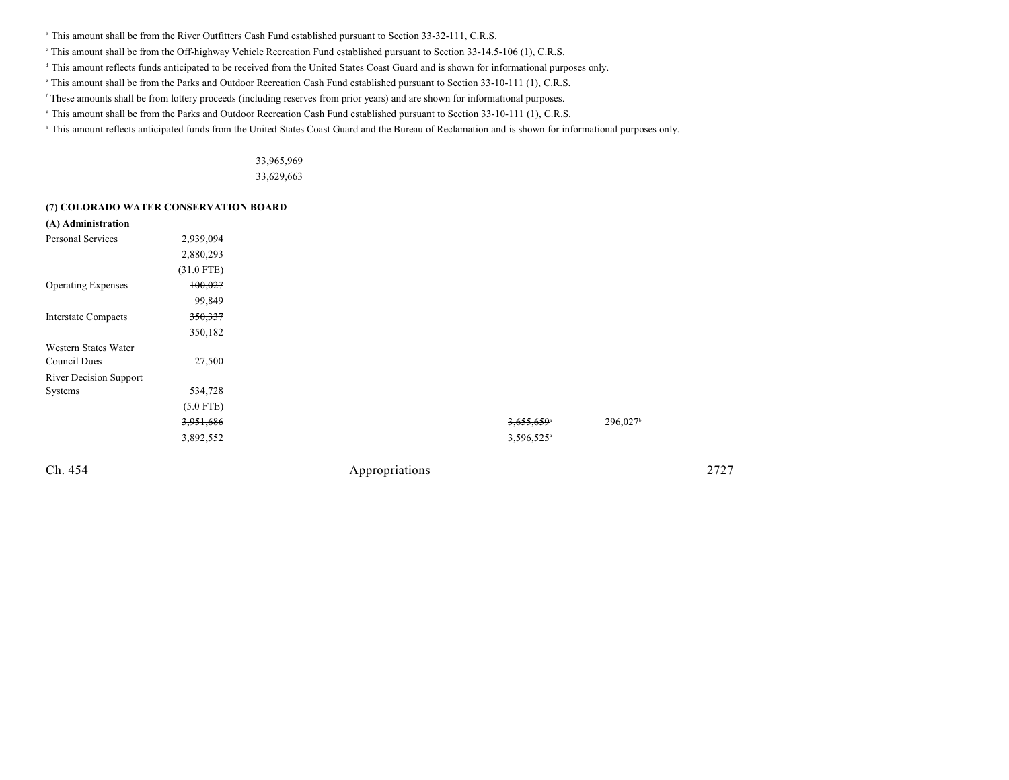- <sup>b</sup> This amount shall be from the River Outfitters Cash Fund established pursuant to Section 33-32-111, C.R.S.
- This amount shall be from the Off-highway Vehicle Recreation Fund established pursuant to Section 33-14.5-106 (1), C.R.S. <sup>c</sup>
- <sup>d</sup> This amount reflects funds anticipated to be received from the United States Coast Guard and is shown for informational purposes only.
- This amount shall be from the Parks and Outdoor Recreation Cash Fund established pursuant to Section 33-10-111 (1), C.R.S.
- <sup>r</sup> These amounts shall be from lottery proceeds (including reserves from prior years) and are shown for informational purposes.
- <sup>g</sup> This amount shall be from the Parks and Outdoor Recreation Cash Fund established pursuant to Section 33-10-111 (1), C.R.S.
- <sup>h</sup> This amount reflects anticipated funds from the United States Coast Guard and the Bureau of Reclamation and is shown for informational purposes only.

### 33,965,969 33,629,663

#### **(7) COLORADO WATER CONSERVATION BOARD**

| (A) Administration            |              |
|-------------------------------|--------------|
| Personal Services             | 2,939,094    |
|                               | 2,880,293    |
|                               | $(31.0$ FTE) |
| <b>Operating Expenses</b>     | 100,027      |
|                               | 99,849       |
| <b>Interstate Compacts</b>    | 350,337      |
|                               | 350,182      |
| Western States Water          |              |
| Council Dues                  | 27,500       |
| <b>River Decision Support</b> |              |
| Systems                       | 534,728      |
|                               | $(5.0$ FTE)  |
|                               | 3,951,686    |
|                               | 3,892,552    |
|                               |              |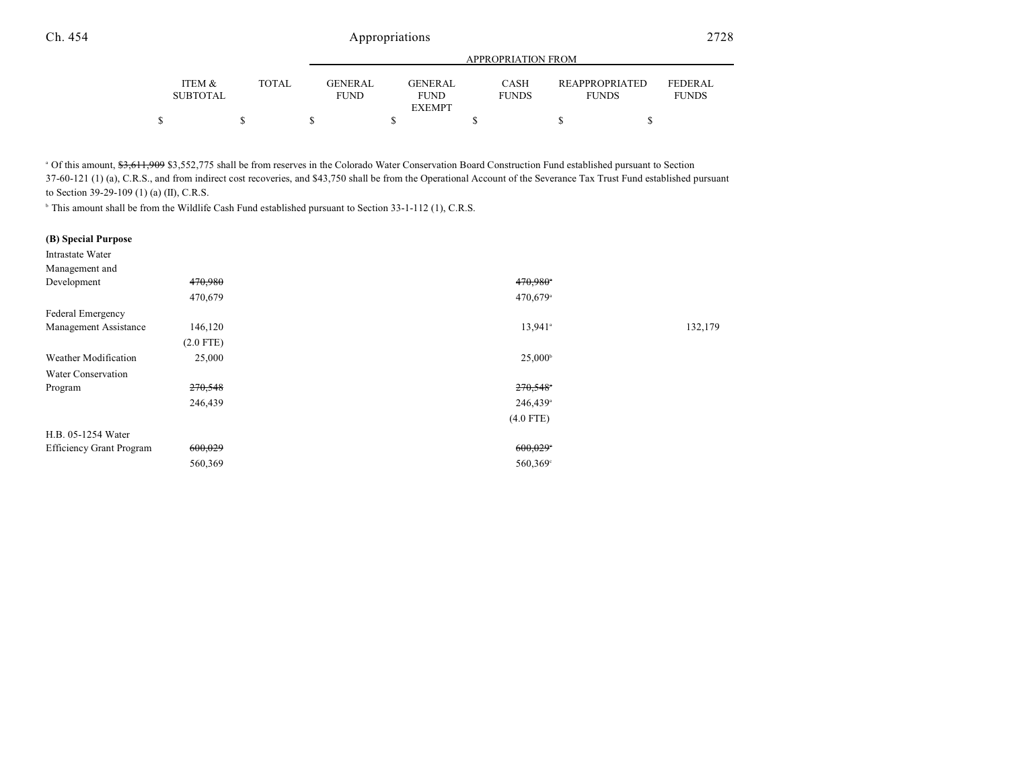|                           |              |                               | <b>APPROPRIATION FROM</b> |                             |                                       |                         |  |  |  |  |
|---------------------------|--------------|-------------------------------|---------------------------|-----------------------------|---------------------------------------|-------------------------|--|--|--|--|
| ITEM &<br><b>SUBTOTAL</b> | <b>TOTAL</b> | <b>GENERAL</b><br><b>FUND</b> | GENERAL<br><b>FUND</b>    | <b>CASH</b><br><b>FUNDS</b> | <b>REAPPROPRIATED</b><br><b>FUNDS</b> | FEDERAL<br><b>FUNDS</b> |  |  |  |  |
|                           |              |                               | <b>EXEMPT</b>             |                             |                                       |                         |  |  |  |  |
|                           |              |                               |                           |                             |                                       |                         |  |  |  |  |

<sup>a</sup> Of this amount, \$3,611,909 \$3,552,775 shall be from reserves in the Colorado Water Conservation Board Construction Fund established pursuant to Section 37-60-121 (1) (a), C.R.S., and from indirect cost recoveries, and \$43,750 shall be from the Operational Account of the Severance Tax Trust Fund established pursuant to Section 39-29-109 (1) (a) (II), C.R.S.

 $\mu$  This amount shall be from the Wildlife Cash Fund established pursuant to Section 33-1-112 (1), C.R.S.

### **(B) Special Purpose**

| <b>Intrastate Water</b>         |             |                        |         |
|---------------------------------|-------------|------------------------|---------|
| Management and                  |             |                        |         |
| Development                     | 470,980     | 470,980*               |         |
|                                 | 470,679     | 470,679 <sup>a</sup>   |         |
| Federal Emergency               |             |                        |         |
| Management Assistance           | 146,120     | 13,941 <sup>a</sup>    | 132,179 |
|                                 | $(2.0$ FTE) |                        |         |
| Weather Modification            | 25,000      | $25,000^{\circ}$       |         |
| Water Conservation              |             |                        |         |
| Program                         | 270,548     | $270,548$ <sup>*</sup> |         |
|                                 | 246,439     | 246,439 <sup>a</sup>   |         |
|                                 |             | $(4.0$ FTE)            |         |
| H.B. 05-1254 Water              |             |                        |         |
| <b>Efficiency Grant Program</b> | 600,029     | 600,029                |         |
|                                 | 560,369     | 560,369 <sup>c</sup>   |         |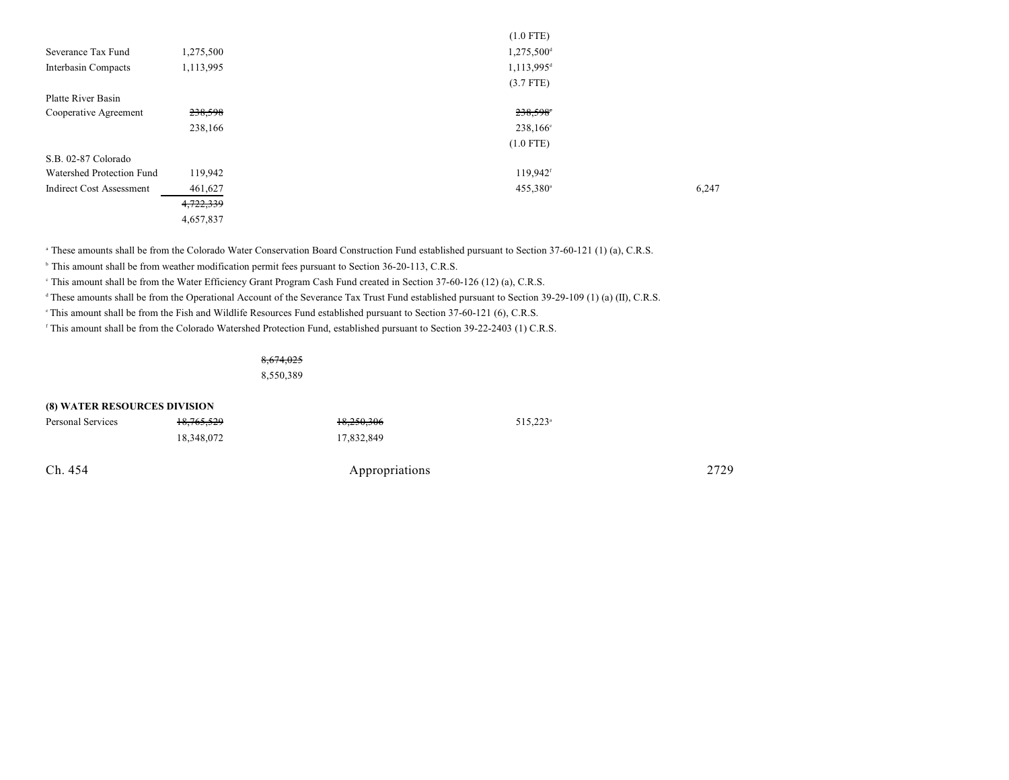| 1,275,500 | 1,275,500 <sup>d</sup> |             |
|-----------|------------------------|-------------|
| 1,113,995 | 1,113,995 <sup>d</sup> |             |
|           | $(3.7$ FTE)            |             |
|           |                        |             |
| 238,598   | 238,598                |             |
| 238,166   | 238,166 <sup>e</sup>   |             |
|           | $(1.0$ FTE)            |             |
|           |                        |             |
| 119,942   | 119,942 <sup>f</sup>   |             |
| 461,627   | 455,380 <sup>a</sup>   | 6,247       |
| 4,722,339 |                        |             |
| 4,657,837 |                        |             |
|           |                        | $(1.0$ FIE) |

 $(1.0 \text{ F})$ 

<sup>a</sup> These amounts shall be from the Colorado Water Conservation Board Construction Fund established pursuant to Section 37-60-121 (1) (a), C.R.S.

<sup>b</sup> This amount shall be from weather modification permit fees pursuant to Section 36-20-113, C.R.S.

<sup>e</sup> This amount shall be from the Water Efficiency Grant Program Cash Fund created in Section 37-60-126 (12) (a), C.R.S.

<sup>d</sup> These amounts shall be from the Operational Account of the Severance Tax Trust Fund established pursuant to Section 39-29-109 (1) (a) (II), C.R.S.

This amount shall be from the Fish and Wildlife Resources Fund established pursuant to Section 37-60-121 (6), C.R.S.

<sup>f</sup> This amount shall be from the Colorado Watershed Protection Fund, established pursuant to Section 39-22-2403 (1) C.R.S.

8,674,025

8,550,389

| <b>(8) WATER RESOURCES DIVISION</b> |                       |                |                      |      |
|-------------------------------------|-----------------------|----------------|----------------------|------|
| Personal Services                   | <del>18,765,529</del> | 18,250,306     | 515,223 <sup>a</sup> |      |
|                                     | 18,348,072            | 17,832,849     |                      |      |
| Ch. 454                             |                       | Appropriations |                      | 2729 |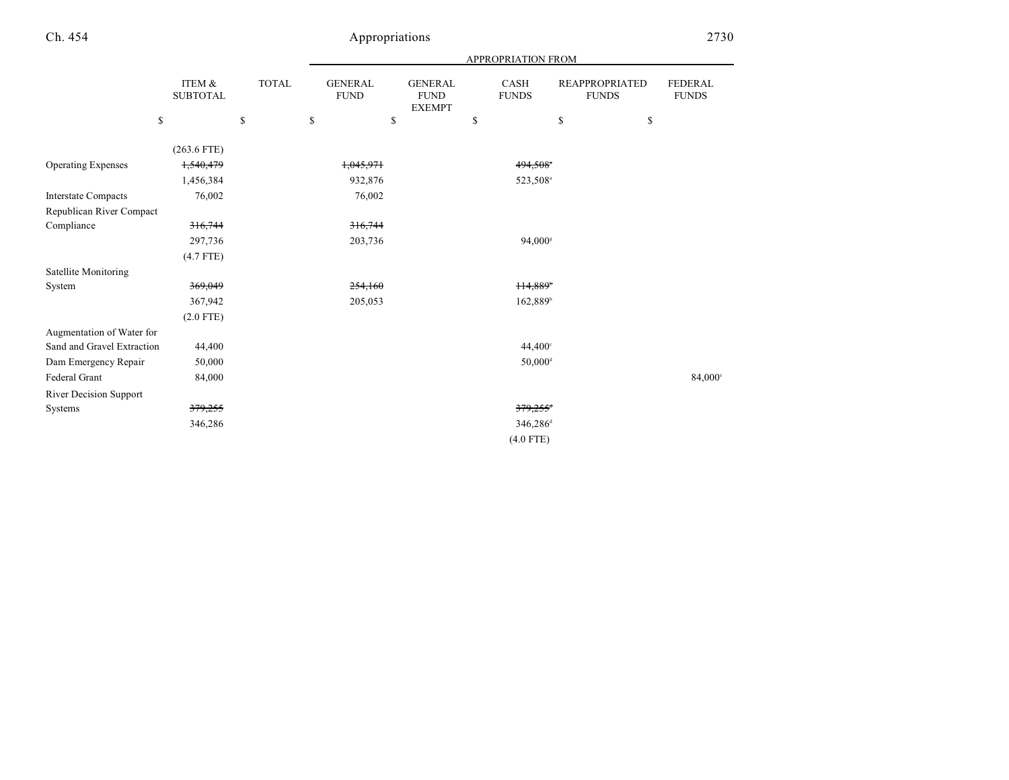|                            |                           |       | APPROPRIATION FROM            |                                                |    |                             |                                       |                         |  |
|----------------------------|---------------------------|-------|-------------------------------|------------------------------------------------|----|-----------------------------|---------------------------------------|-------------------------|--|
|                            | ITEM &<br><b>SUBTOTAL</b> | TOTAL | <b>GENERAL</b><br><b>FUND</b> | <b>GENERAL</b><br><b>FUND</b><br><b>EXEMPT</b> |    | <b>CASH</b><br><b>FUNDS</b> | <b>REAPPROPRIATED</b><br><b>FUNDS</b> | FEDERAL<br><b>FUNDS</b> |  |
| \$                         |                           | \$    | \$<br>\$                      |                                                | \$ |                             | \$                                    | \$                      |  |
|                            | $(263.6$ FTE)             |       |                               |                                                |    |                             |                                       |                         |  |
| <b>Operating Expenses</b>  | 1,540,479                 |       | 1,045,971                     |                                                |    | 494,508*                    |                                       |                         |  |
|                            | 1,456,384                 |       | 932,876                       |                                                |    | 523,508 <sup>a</sup>        |                                       |                         |  |
| <b>Interstate Compacts</b> | 76,002                    |       | 76,002                        |                                                |    |                             |                                       |                         |  |
| Republican River Compact   |                           |       |                               |                                                |    |                             |                                       |                         |  |
| Compliance                 | 316,744                   |       | 316,744                       |                                                |    |                             |                                       |                         |  |
|                            | 297,736                   |       | 203,736                       |                                                |    | 94,000 <sup>s</sup>         |                                       |                         |  |
|                            | $(4.7$ FTE)               |       |                               |                                                |    |                             |                                       |                         |  |
| Satellite Monitoring       |                           |       |                               |                                                |    |                             |                                       |                         |  |
| System                     | 369,049                   |       | 254,160                       |                                                |    | 114,889*                    |                                       |                         |  |
|                            | 367,942                   |       | 205,053                       |                                                |    | 162,889 <sup>b</sup>        |                                       |                         |  |
|                            | $(2.0$ FTE)               |       |                               |                                                |    |                             |                                       |                         |  |
| Augmentation of Water for  |                           |       |                               |                                                |    |                             |                                       |                         |  |
| Sand and Gravel Extraction | 44,400                    |       |                               |                                                |    | 44,400°                     |                                       |                         |  |
| Dam Emergency Repair       | 50,000                    |       |                               |                                                |    | $50,000$ <sup>d</sup>       |                                       |                         |  |
| Federal Grant              | 84,000                    |       |                               |                                                |    |                             |                                       | 84,000°                 |  |
| River Decision Support     |                           |       |                               |                                                |    |                             |                                       |                         |  |
| Systems                    | 379,255                   |       |                               |                                                |    | $379,255$ <sup>+</sup>      |                                       |                         |  |
|                            | 346,286                   |       |                               |                                                |    | 346,286 <sup>d</sup>        |                                       |                         |  |
|                            |                           |       |                               |                                                |    | $(4.0$ FTE)                 |                                       |                         |  |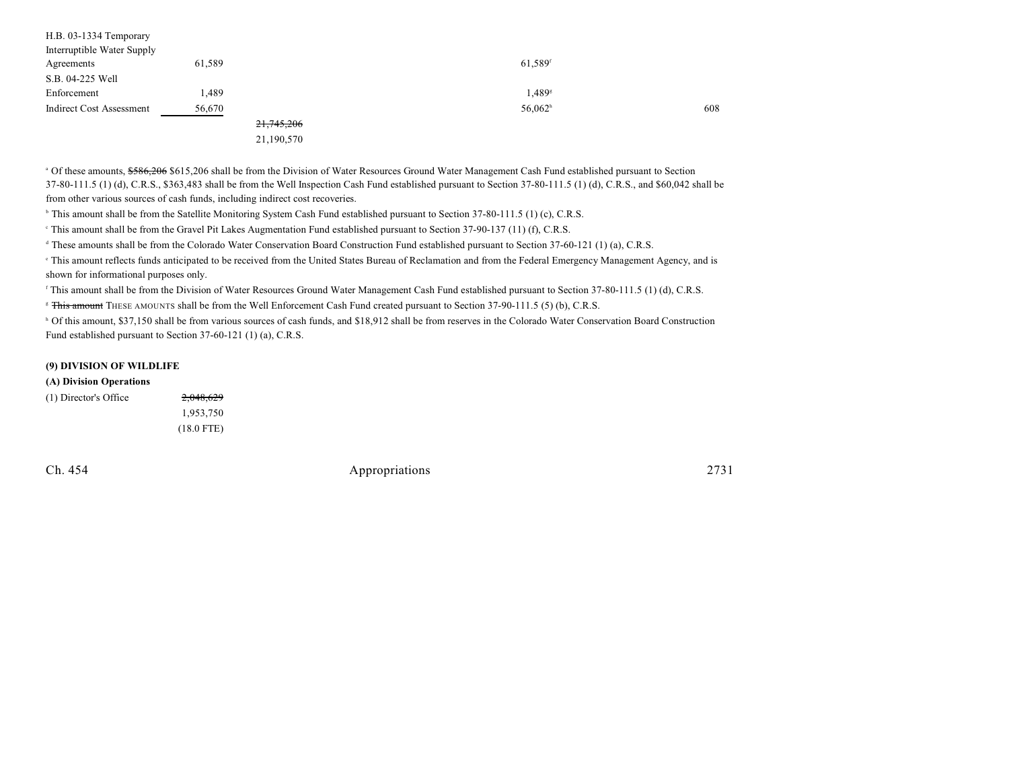| 61,589     | 61,589 <sup>f</sup>   |     |
|------------|-----------------------|-----|
|            |                       |     |
| 1,489      | 1,489 <sup>s</sup>    |     |
| 56,670     | $56,062$ <sup>h</sup> | 608 |
| 21,745,206 |                       |     |
|            |                       |     |

21,190,570

<sup>a</sup> Of these amounts, \$586,206 \$615,206 shall be from the Division of Water Resources Ground Water Management Cash Fund established pursuant to Section 37-80-111.5 (1) (d), C.R.S., \$363,483 shall be from the Well Inspection Cash Fund established pursuant to Section 37-80-111.5 (1) (d), C.R.S., and \$60,042 shall be from other various sources of cash funds, including indirect cost recoveries.

<sup>b</sup> This amount shall be from the Satellite Monitoring System Cash Fund established pursuant to Section 37-80-111.5 (1) (c), C.R.S.

<sup>e</sup> This amount shall be from the Gravel Pit Lakes Augmentation Fund established pursuant to Section 37-90-137 (11) (f), C.R.S.

<sup>d</sup> These amounts shall be from the Colorado Water Conservation Board Construction Fund established pursuant to Section 37-60-121 (1) (a), C.R.S.

This amount reflects funds anticipated to be received from the United States Bureau of Reclamation and from the Federal Emergency Management Agency, and is shown for informational purposes only.

<sup>f</sup> This amount shall be from the Division of Water Resources Ground Water Management Cash Fund established pursuant to Section 37-80-111.5 (1) (d), C.R.S.

<sup>8</sup> This amount THESE AMOUNTS shall be from the Well Enforcement Cash Fund created pursuant to Section 37-90-111.5 (5) (b), C.R.S.

<sup>h</sup> Of this amount, \$37,150 shall be from various sources of cash funds, and \$18,912 shall be from reserves in the Colorado Water Conservation Board Construction Fund established pursuant to Section 37-60-121 (1) (a), C.R.S.

#### **(9) DIVISION OF WILDLIFE**

#### **(A) Division Operations**

| (1) Director's Office | 2,048,629    |
|-----------------------|--------------|
|                       | 1.953.750    |
|                       | $(18.0$ FTE) |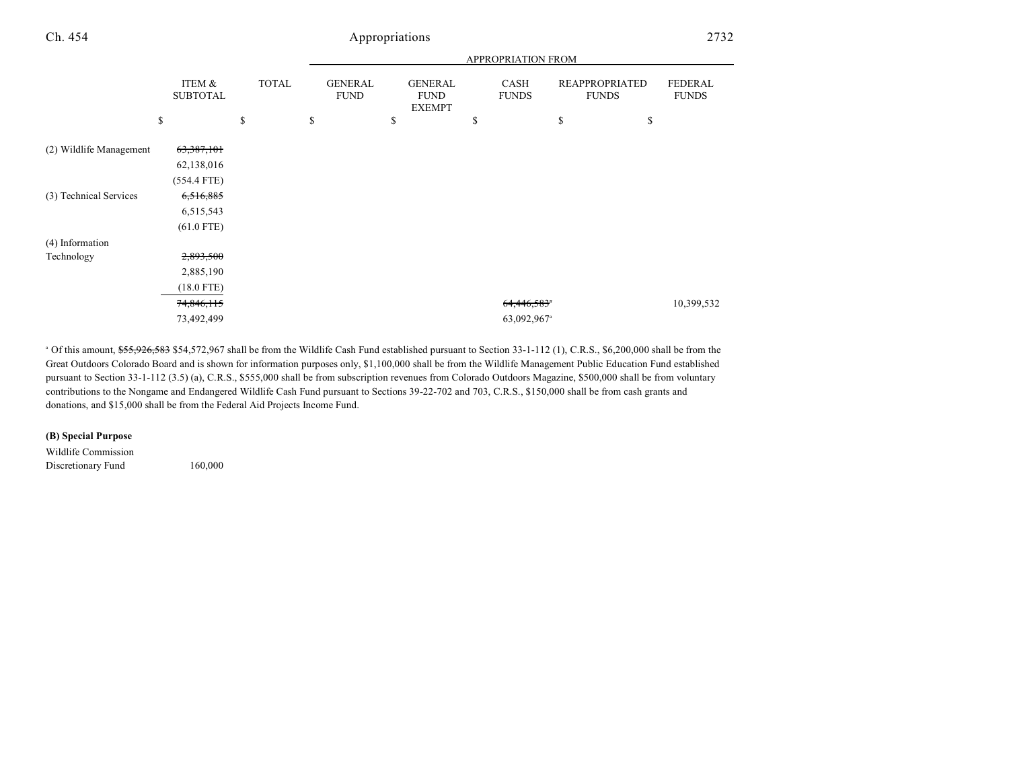|                         |                           |              | <b>APPROPRIATION FROM</b>     |    |                                                |    |                         |                                       |                                |
|-------------------------|---------------------------|--------------|-------------------------------|----|------------------------------------------------|----|-------------------------|---------------------------------------|--------------------------------|
|                         | ITEM &<br><b>SUBTOTAL</b> | <b>TOTAL</b> | <b>GENERAL</b><br><b>FUND</b> |    | <b>GENERAL</b><br><b>FUND</b><br><b>EXEMPT</b> |    | CASH<br><b>FUNDS</b>    | <b>REAPPROPRIATED</b><br><b>FUNDS</b> | <b>FEDERAL</b><br><b>FUNDS</b> |
|                         | \$                        | \$           | \$                            | \$ |                                                | \$ |                         | \$<br>\$                              |                                |
| (2) Wildlife Management | 63,387,101                |              |                               |    |                                                |    |                         |                                       |                                |
|                         | 62,138,016                |              |                               |    |                                                |    |                         |                                       |                                |
|                         | $(554.4$ FTE)             |              |                               |    |                                                |    |                         |                                       |                                |
| (3) Technical Services  | 6,516,885                 |              |                               |    |                                                |    |                         |                                       |                                |
|                         | 6,515,543                 |              |                               |    |                                                |    |                         |                                       |                                |
|                         | $(61.0$ FTE)              |              |                               |    |                                                |    |                         |                                       |                                |
| (4) Information         |                           |              |                               |    |                                                |    |                         |                                       |                                |
| Technology              | 2,893,500                 |              |                               |    |                                                |    |                         |                                       |                                |
|                         | 2,885,190                 |              |                               |    |                                                |    |                         |                                       |                                |
|                         | $(18.0$ FTE)              |              |                               |    |                                                |    |                         |                                       |                                |
|                         | 74,846,115                |              |                               |    |                                                |    | 64,446,583 <sup>*</sup> |                                       | 10,399,532                     |
|                         | 73,492,499                |              |                               |    |                                                |    | 63,092,967 <sup>a</sup> |                                       |                                |

<sup>a</sup> Of this amount, \$55,926,583 \$54,572,967 shall be from the Wildlife Cash Fund established pursuant to Section 33-1-112 (1), C.R.S., \$6,200,000 shall be from the Great Outdoors Colorado Board and is shown for information purposes only, \$1,100,000 shall be from the Wildlife Management Public Education Fund established pursuant to Section 33-1-112 (3.5) (a), C.R.S., \$555,000 shall be from subscription revenues from Colorado Outdoors Magazine, \$500,000 shall be from voluntary contributions to the Nongame and Endangered Wildlife Cash Fund pursuant to Sections 39-22-702 and 703, C.R.S., \$150,000 shall be from cash grants and donations, and \$15,000 shall be from the Federal Aid Projects Income Fund.

#### **(B) Special Purpose**

Wildlife Commission Discretionary Fund 160,000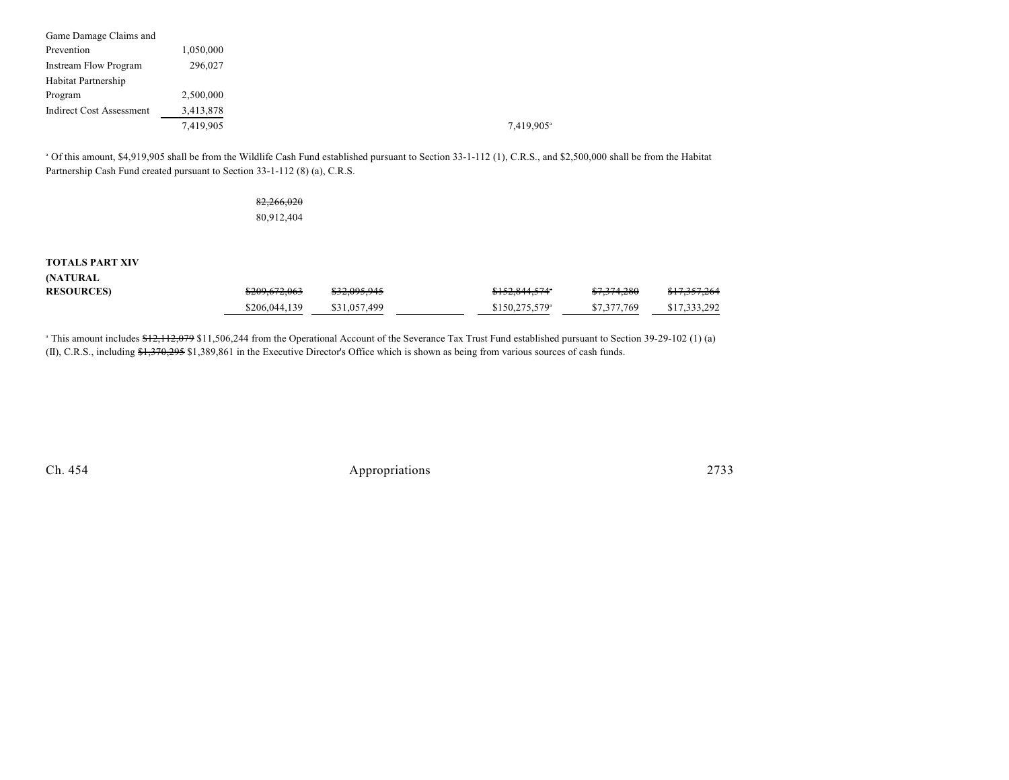| Game Damage Claims and          |           |
|---------------------------------|-----------|
| Prevention                      | 1,050,000 |
| <b>Instream Flow Program</b>    | 296,027   |
| Habitat Partnership             |           |
| Program                         | 2,500,000 |
| <b>Indirect Cost Assessment</b> | 3,413,878 |
|                                 | 7,419,905 |

<sup>a</sup> Of this amount, \$4,919,905 shall be from the Wildlife Cash Fund established pursuant to Section 33-1-112 (1), C.R.S., and \$2,500,000 shall be from the Habitat Partnership Cash Fund created pursuant to Section 33-1-112 (8) (a), C.R.S.

## 82,266,020 80,912,404

### **TOTALS PART XIV**

**(NATURAL**

| <b>RESOURCES)</b> | <del>\$209,672,063</del> | \$32,095,945 | <del>\$152,844,574</del> * | <del>\$7,374,280</del> | \$17,357,264 |
|-------------------|--------------------------|--------------|----------------------------|------------------------|--------------|
|                   | \$206,044,139            | \$31,057,499 | $$150,275,579^{\circ}$     | \$7,377,769            | \$17,333,292 |

<sup>a</sup> This amount includes \$12,112,079 \$11,506,244 from the Operational Account of the Severance Tax Trust Fund established pursuant to Section 39-29-102 (1) (a) (II), C.R.S., including \$1,370,295 \$1,389,861 in the Executive Director's Office which is shown as being from various sources of cash funds.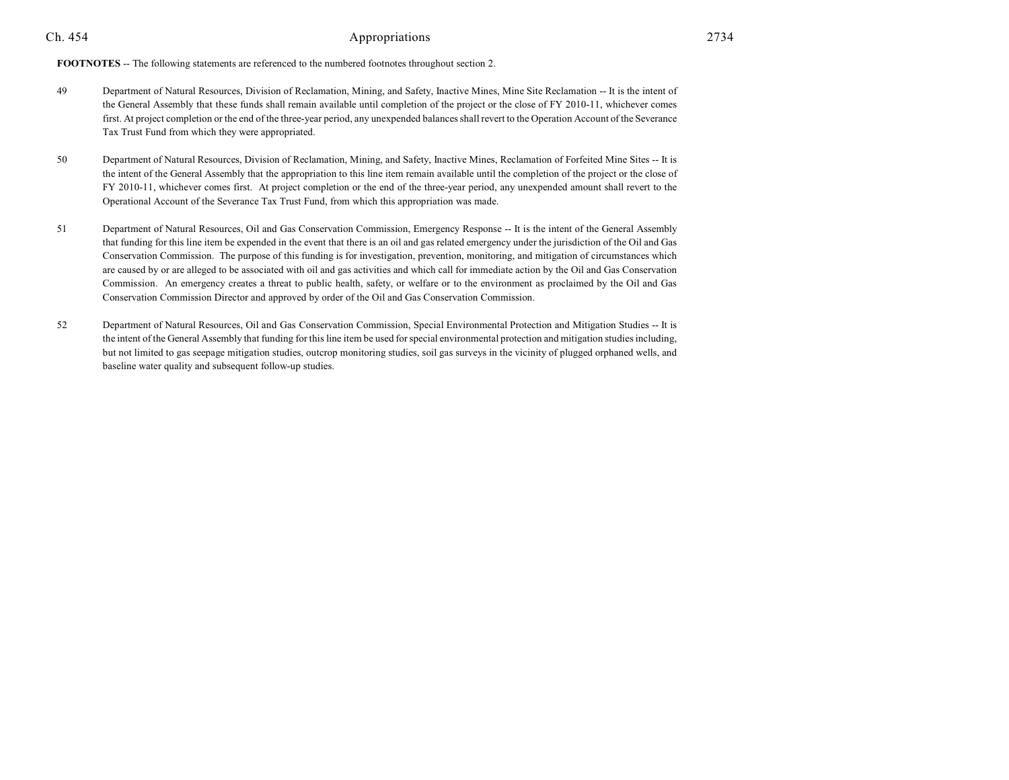**FOOTNOTES** -- The following statements are referenced to the numbered footnotes throughout section 2.

- 49 Department of Natural Resources, Division of Reclamation, Mining, and Safety, Inactive Mines, Mine Site Reclamation -- It is the intent of the General Assembly that these funds shall remain available until completion of the project or the close of FY 2010-11, whichever comes first. At project completion or the end of the three-year period, any unexpended balances shall revert to the Operation Account of the Severance Tax Trust Fund from which they were appropriated.
- 50 Department of Natural Resources, Division of Reclamation, Mining, and Safety, Inactive Mines, Reclamation of Forfeited Mine Sites -- It is the intent of the General Assembly that the appropriation to this line item remain available until the completion of the project or the close of FY 2010-11, whichever comes first. At project completion or the end of the three-year period, any unexpended amount shall revert to the Operational Account of the Severance Tax Trust Fund, from which this appropriation was made.
- 51 Department of Natural Resources, Oil and Gas Conservation Commission, Emergency Response -- It is the intent of the General Assembly that funding for this line item be expended in the event that there is an oil and gas related emergency under the jurisdiction of the Oil and Gas Conservation Commission. The purpose of this funding is for investigation, prevention, monitoring, and mitigation of circumstances which are caused by or are alleged to be associated with oil and gas activities and which call for immediate action by the Oil and Gas Conservation Commission. An emergency creates a threat to public health, safety, or welfare or to the environment as proclaimed by the Oil and Gas Conservation Commission Director and approved by order of the Oil and Gas Conservation Commission.
- 52 Department of Natural Resources, Oil and Gas Conservation Commission, Special Environmental Protection and Mitigation Studies -- It is the intent of the General Assembly that funding for this line item be used for special environmental protection and mitigation studies including, but not limited to gas seepage mitigation studies, outcrop monitoring studies, soil gas surveys in the vicinity of plugged orphaned wells, and baseline water quality and subsequent follow-up studies.